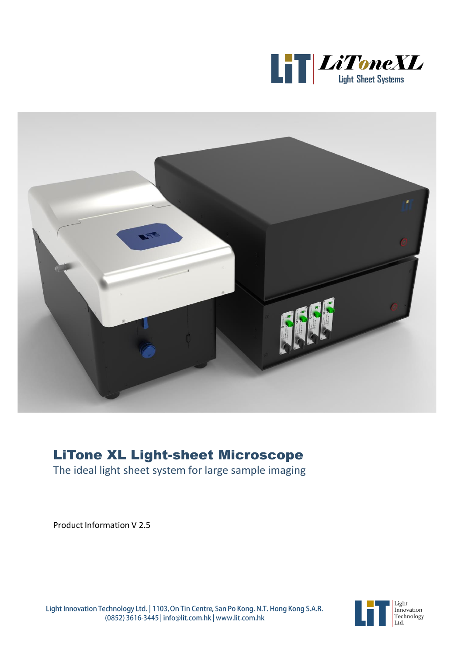



# LiTone XL Light-sheet Microscope

The ideal light sheet system for large sample imaging

Product Information V 2.5



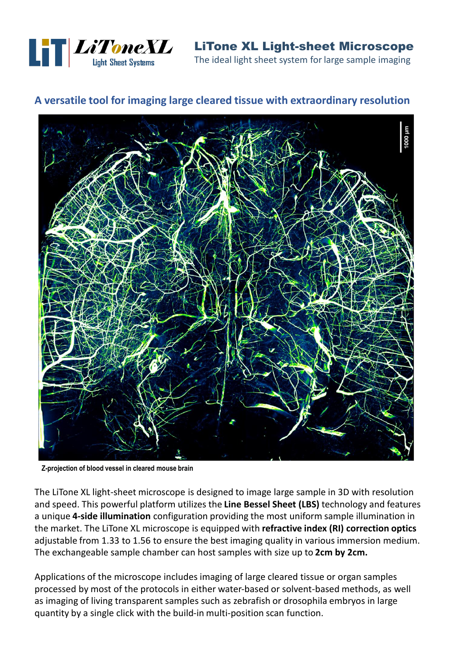

LiTone XL Light-sheet Microscope The ideal light sheet system for large sample imaging

#### **A versatile tool for imaging large cleared tissue with extraordinary resolution**



**Z-projection of blood vessel in cleared mouse brain**

The LiTone XL light-sheet microscope is designed to image large sample in 3D with resolution and speed. This powerful platform utilizes the **Line Bessel Sheet (LBS)** technology and features a unique **4-side illumination** configuration providing the most uniform sample illumination in the market. The LiTone XL microscope is equipped with **refractive index (RI) correction optics**  adjustable from 1.33 to 1.56 to ensure the best imaging quality in various immersion medium. The exchangeable sample chamber can host samples with size up to **2cm by 2cm.**

Applications of the microscope includes imaging of large cleared tissue or organ samples processed by most of the protocols in either water-based or solvent-based methods, as well as imaging of living transparent samples such as zebrafish or drosophila embryos in large quantity by a single click with the build-in multi-position scan function.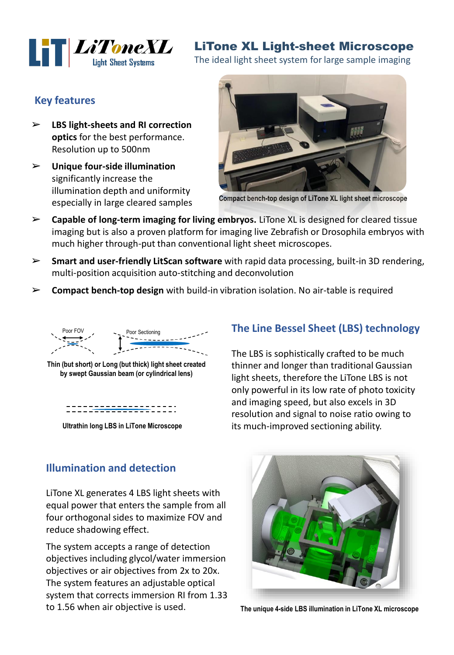

## LiTone XL Light-sheet Microscope

The ideal light sheet system for large sample imaging

#### **Key features**

- ➢ **LBS light-sheets and RI correction optics** for the best performance. Resolution up to 500nm
- ➢ **Unique four-side illumination**  significantly increase the illumination depth and uniformity especially in large cleared samples



**Compact bench-top design of LiTone XL light sheet microscope**

- ➢ **Capable of long-term imaging for living embryos.** LiTone XL is designed for cleared tissue imaging but is also a proven platform for imaging live Zebrafish or Drosophila embryos with much higher through-put than conventional light sheet microscopes.
- ➢ **Smart and user-friendly LitScan software** with rapid data processing, built-in 3D rendering, multi-position acquisition auto-stitching and deconvolution
- ➢ **Compact bench-top design** with build-in vibration isolation. No air-table is required



**Thin (but short) or Long (but thick) light sheet created by swept Gaussian beam (or cylindrical lens)**

::::<del>::::::::::</del>::::

**Ultrathin long LBS in LiTone Microscope**

#### **Illumination and detection**

LiTone XL generates 4 LBS light sheets with equal power that enters the sample from all four orthogonal sides to maximize FOV and reduce shadowing effect.

The system accepts a range of detection objectives including glycol/water immersion objectives or air objectives from 2x to 20x. The system features an adjustable optical system that corrects immersion RI from 1.33 to 1.56 when air objective is used.

#### **The Line Bessel Sheet (LBS) technology**

The LBS is sophistically crafted to be much thinner and longer than traditional Gaussian light sheets, therefore the LiTone LBS is not only powerful in its low rate of photo toxicity and imaging speed, but also excels in 3D resolution and signal to noise ratio owing to its much-improved sectioning ability.



**The unique 4-side LBS illumination in LiTone XL microscope**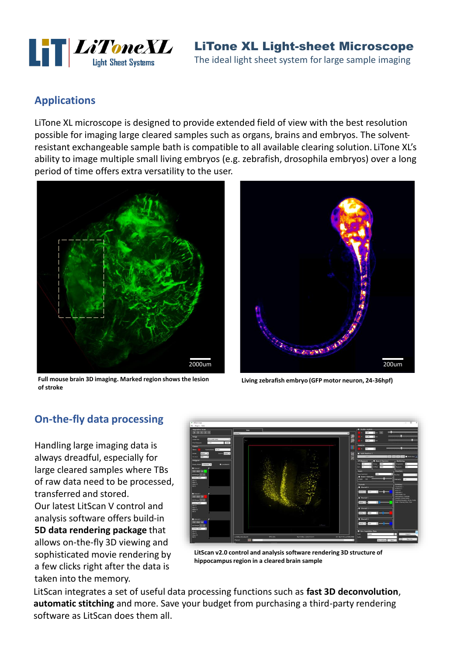

LiTone XL Light-sheet Microscope The ideal light sheet system for large sample imaging

#### **Applications**

LiTone XL microscope is designed to provide extended field of view with the best resolution possible for imaging large cleared samples such as organs, brains and embryos. The solventresistant exchangeable sample bath is compatible to all available clearing solution. LiTone XL's ability to image multiple small living embryos (e.g. zebrafish, drosophila embryos) over a long period of time offers extra versatility to the user.



**Full mouse brain 3D imaging. Marked region shows the lesion of stroke** 



**Living zebrafish embryo (GFP motor neuron, 24-36hpf)** 

#### **On-the-fly data processing**

Handling large imaging data is always dreadful, especially for large cleared samples where TBs of raw data need to be processed, transferred and stored. Our latest LitScan V control and analysis software offers build-in **5D data rendering package** that allows on-the-fly 3D viewing and sophisticated movie rendering by a few clicks right after the data is taken into the memory.



**LitScan v2.0 control and analysis software rendering 3D structure of hippocampus region in a cleared brain sample** 

LitScan integrates a set of useful data processing functions such as **fast 3D deconvolution**, **automatic stitching** and more. Save your budget from purchasing a third-party rendering software as LitScan does them all.